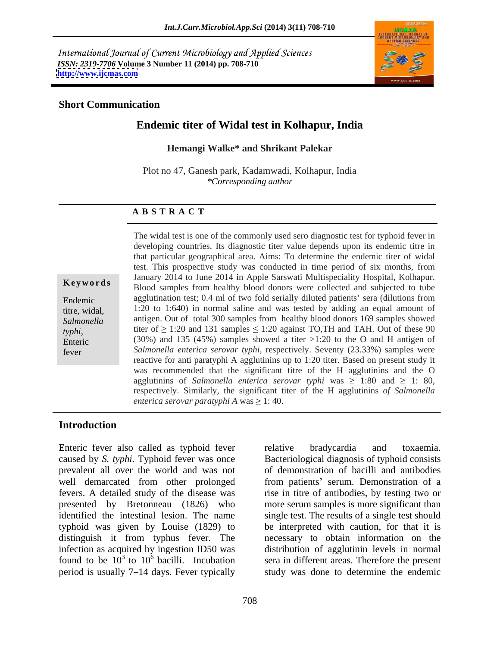International Journal of Current Microbiology and Applied Sciences *ISSN: 2319-7706* **Volume 3 Number 11 (2014) pp. 708-710 <http://www.ijcmas.com>**



### **Short Communication**

# **Endemic titer of Widal test in Kolhapur, India**

### **Hemangi Walke\* and Shrikant Palekar**

Plot no 47, Ganesh park, Kadamwadi, Kolhapur, India *\*Corresponding author*

## **A B S T R A C T**

titer of  $\geq$  1:20 and 131 samples  $\leq$  1:20 against TO,TH and TAH. Out of these 90 **Keywords** Blood samples from healthy blood donors were collected and subjected to tube Endemic agglutination test; 0.4 ml of two fold serially diluted patients' sera (dilutions from titre, widal, 1:20 to 1:640) in normal saline and was tested by adding an equal amount of *Salmonella*  antigen. Out of total 300 samples from healthy blood donors 169 samples showed *typhi*, titer of  $\geq$  1:20 and 131 samples  $\leq$  1:20 against 10,1H and 1AH. Out of these 90<br>Enteric (30%) and 135 (45%) samples showed a titer >1:20 to the O and H antigen of fever *Salmonella enterica serovar typhi,* respectively. Seventy (23.33%) samples were The widal test is one of the commonly used sero diagnostic test for typhoid fever in developing countries. Its diagnostic titer value depends upon its endemic titre in that particular geographical area. Aims: To determine the endemic titer of widal test. This prospective study was conducted in time period of six months, from January 2014 to June 2014 in Apple Sarswati Multispeciality Hospital, Kolhapur. reactive for anti paratyphi A agglutinins up to 1:20 titer. Based on present study it was recommended that the significant titre of the H agglutinins and the O agglutinins of *Salmonella enterica serovar typhi* was  $\geq 1:80$  and  $\geq 1:80$ , respectively. Similarly, the significant titer of the H agglutinins *of Salmonella enterica serovar paratyphi A* was  $\geq 1$ : 40.

## **Introduction**

Enteric fever also called as typhoid fever relative bradycardia and toxaemia. caused by *S. typhi.* Typhoid fever was once Bacteriological diagnosis of typhoid consists prevalent all over the world and was not well demarcated from other prolonged from patients' serum. Demonstration of a fevers. A detailed study of the disease was rise in titre of antibodies, by testing two or presented by Bretonneau (1826) who more serum samples is more significant than identified the intestinal lesion. The name single test. The results of a single test should typhoid was given by Louise (1829) to distinguish it from typhus fever. The necessary to obtain information on the infection as acquired by ingestion ID50 was distribution of agglutinin levels in normal found to be  $10^3$  to  $10^6$  bacilli. Incubation period is usually 7–14 days. Fever typically study was done to determine the endemic

 $3$  to  $10^6$  bacilli. Incubation sera in different areas. Therefore the present relative bradycardia and toxaemia. of demonstration of bacilli and antibodies be interpreted with caution, for that it is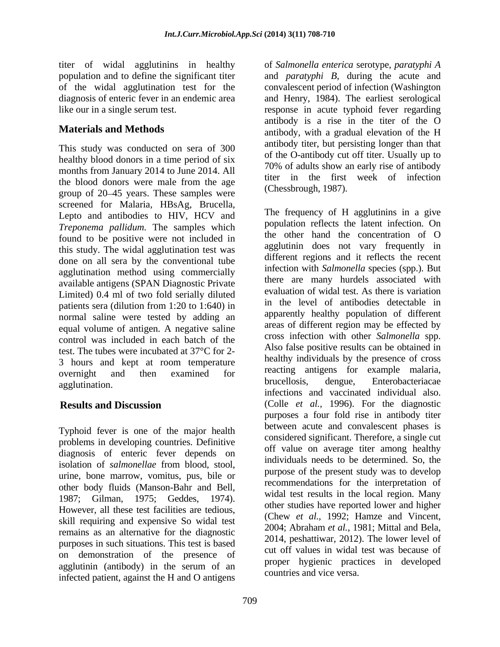This study was conducted on sera of 300 healthy blood donors in a time period of six months from January 2014 to June 2014. All the blood donors were male from the age group of 20 45 years. These samples were screened for Malaria, HBsAg, Brucella,<br>Lepto and antibodies to HIV, HCV and The frequency of H agglutinins in a give *Treponema pallidum.* The samples which *population reflects the latent intection.* On<br>the other hand the concentration of O found to be positive were not included in this study. The widal agglutination test was done on all sera by the conventional tube agglutination method using commercially available antigens (SPAN Diagnostic Private Limited) 0.4 ml of two fold serially diluted patients sera (dilution from 1:20 to 1:640) in normal saline were tested by adding an equal volume of antigen. A negative saline control was included in each batch of the test. The tubes were incubated at 37°C for 2- 3 hours and kept at room temperature

Typhoid fever is one of the major health problems in developing countries. Definitive diagnosis of enteric fever depends on isolation of *salmonellae* from blood, stool, urine, bone marrow, vomitus, pus, bile or However, all these test facilities are tedious, skill requiring and expensive So widal test remains as an alternative for the diagnostic purposes in such situations. This test is based on demonstration of the presence of agglutinin (antibody) in the serum of an infected patient, against the H and O antigens

titer of widal agglutinins in healthy of *Salmonella enterica* serotype, *paratyphi A* population and to define the significant titer and *paratyphi B*, during the acute and of the widal agglutination test for the convalescent period of infection (Washington diagnosis of enteric fever in an endemic area and Henry, 1984). The earliest serological like our in a single serum test. response in acute typhoid fever regarding **Materials and Methods** antibody, with a gradual elevation of the H antibody is a rise in the titer of the O antibody titer, but persisting longer than that of the O-antibody cut off titer. Usually up to 70% of adults show an early rise of antibody titer in the first week of infection (Chessbrough, 1987).

overnight and then examined for reacung anugens for example malaria, agglutination. The contract of the contract of the contract of the contract of the contract of the contract of the contract of the contract of the contract of the contract of the contract of the contract of the contract of **Results and Discussion** (Colle *et al.,* 1996). For the diagnostic other body fluids (Manson-Bahr and Bell,<br>1987; Gilman, 1975; Geddes, 1974). The frequency of H agglutinins in a give population reflects the latent infection. On the other hand the concentration of O agglutinin does not vary frequently in different regions and it reflects the recent infection with *Salmonella* species (spp.). But there are many hurdels associated with evaluation of widal test. As there is variation in the level of antibodies detectable in apparently healthy population of different areas of different region may be effected by cross infection with other *Salmonella* spp. Also false positive results can be obtained in healthy individuals by the presence of cross reacting antigens for example malaria, brucellosis, dengue, Enterobacteriacae infections and vaccinated individual also. purposes a four fold rise in antibody titer between acute and convalescent phases is considered significant. Therefore, a single cut off value on average titer among healthy individuals needs to be determined. So, the purpose of the present study was to develop recommendations for the interpretation of widal test results in the local region. Many other studies have reported lower and higher (Chew *et al.,* 1992; Hamze and Vincent, 2004; Abraham *et al.,* 1981; Mittal and Bela, 2014, peshattiwar, 2012). The lower level of cut off values in widal test was because of proper hygienic practices in developed countries and vice versa.